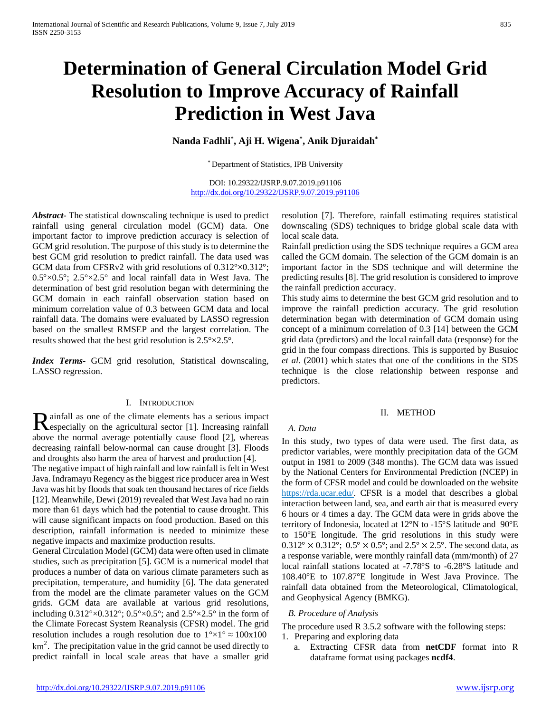# **Determination of General Circulation Model Grid Resolution to Improve Accuracy of Rainfall Prediction in West Java**

# **Nanda Fadhli\* , Aji H. Wigena\* , Anik Djuraidah\***

\* Department of Statistics, IPB University

DOI: 10.29322/IJSRP.9.07.2019.p91106 <http://dx.doi.org/10.29322/IJSRP.9.07.2019.p91106>

*Abstract***-** The statistical downscaling technique is used to predict rainfall using general circulation model (GCM) data. One important factor to improve prediction accuracy is selection of GCM grid resolution. The purpose of this study is to determine the best GCM grid resolution to predict rainfall. The data used was GCM data from CFSRv2 with grid resolutions of 0.312°×0.312°;  $0.5^{\circ}\times0.5^{\circ}$ ;  $2.5^{\circ}\times2.5^{\circ}$  and local rainfall data in West Java. The determination of best grid resolution began with determining the GCM domain in each rainfall observation station based on minimum correlation value of 0.3 between GCM data and local rainfall data. The domains were evaluated by LASSO regression based on the smallest RMSEP and the largest correlation. The results showed that the best grid resolution is 2.5°×2.5°.

*Index Terms*- GCM grid resolution, Statistical downscaling, LASSO regression.

## I. INTRODUCTION

**D** ainfall as one of the climate elements has a serious impact Rainfall as one of the climate elements has a serious impact<br>especially on the agricultural sector [1]. Increasing rainfall<br>also despected to the set of the set of the set of the set of the set of the set of the set of the above the normal average potentially cause flood [2], whereas decreasing rainfall below-normal can cause drought [3]. Floods and droughts also harm the area of harvest and production [4].

The negative impact of high rainfall and low rainfall is felt in West Java. Indramayu Regency as the biggest rice producer area in West Java was hit by floods that soak ten thousand hectares of rice fields [12]. Meanwhile, Dewi (2019) revealed that West Java had no rain more than 61 days which had the potential to cause drought. This will cause significant impacts on food production. Based on this description, rainfall information is needed to minimize these negative impacts and maximize production results.

General Circulation Model (GCM) data were often used in climate studies, such as precipitation [5]. GCM is a numerical model that produces a number of data on various climate parameters such as precipitation, temperature, and humidity [6]. The data generated from the model are the climate parameter values on the GCM grids. GCM data are available at various grid resolutions, including  $0.312^{\circ} \times 0.312^{\circ}$ ;  $0.5^{\circ} \times 0.5^{\circ}$ ; and  $2.5^{\circ} \times 2.5^{\circ}$  in the form of the Climate Forecast System Reanalysis (CFSR) model. The grid resolution includes a rough resolution due to  $1^{\circ} \times 1^{\circ} \approx 100 \times 100$  $km<sup>2</sup>$ . The precipitation value in the grid cannot be used directly to predict rainfall in local scale areas that have a smaller grid

resolution [7]. Therefore, rainfall estimating requires statistical downscaling (SDS) techniques to bridge global scale data with local scale data.

Rainfall prediction using the SDS technique requires a GCM area called the GCM domain. The selection of the GCM domain is an important factor in the SDS technique and will determine the predicting results [8]. The grid resolution is considered to improve the rainfall prediction accuracy.

This study aims to determine the best GCM grid resolution and to improve the rainfall prediction accuracy. The grid resolution determination began with determination of GCM domain using concept of a minimum correlation of 0.3 [14] between the GCM grid data (predictors) and the local rainfall data (response) for the grid in the four compass directions. This is supported by Busuioc *et al.* (2001) which states that one of the conditions in the SDS technique is the close relationship between response and predictors.

## II. METHOD

# *A. Data*

In this study, two types of data were used. The first data, as predictor variables, were monthly precipitation data of the GCM output in 1981 to 2009 (348 months). The GCM data was issued by the National Centers for Environmental Prediction (NCEP) in the form of CFSR model and could be downloaded on the website https://rda.ucar.edu/. CFSR is a model that describes a global interaction between land, sea, and earth air that is measured every 6 hours or 4 times a day. The GCM data were in grids above the territory of Indonesia, located at 12°N to -15°S latitude and 90°E to 150°E longitude. The grid resolutions in this study were  $0.312^{\circ} \times 0.312^{\circ}$ ;  $0.5^{\circ} \times 0.5^{\circ}$ ; and  $2.5^{\circ} \times 2.5^{\circ}$ . The second data, as a response variable, were monthly rainfall data (mm/month) of 27 local rainfall stations located at -7.78°S to -6.28°S latitude and 108.40°E to 107.87°E longitude in West Java Province. The rainfall data obtained from the Meteorological, Climatological, and Geophysical Agency (BMKG).

## *B. Procedure of Analysis*

The procedure used R 3.5.2 software with the following steps:

- 1. Preparing and exploring data
	- a. Extracting CFSR data from **netCDF** format into R dataframe format using packages **ncdf4**.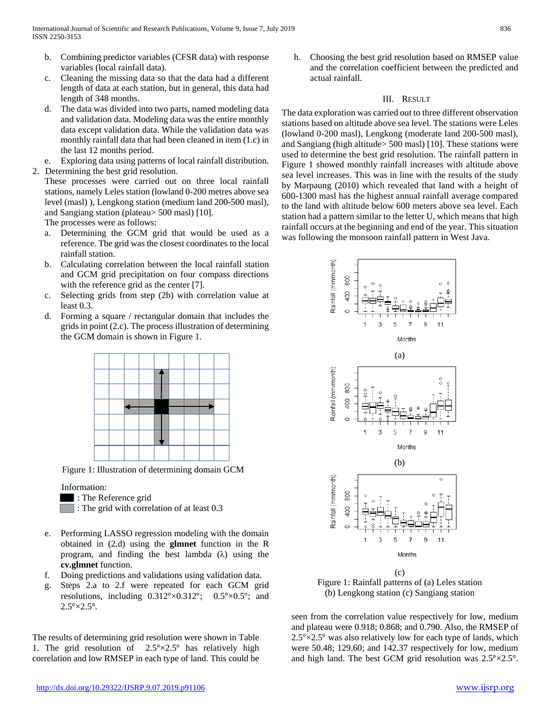- b. Combining predictor variables (CFSR data) with response variables (local rainfall data).
- c. Cleaning the missing data so that the data had a different length of data at each station, but in general, this data had length of 348 months.
- d. The data was divided into two parts, named modeling data and validation data. Modeling data was the entire monthly data except validation data. While the validation data was monthly rainfall data that had been cleaned in item (1.c) in the last 12 months period.
- e. Exploring data using patterns of local rainfall distribution.
- 2. Determining the best grid resolution.

These processes were carried out on three local rainfall stations, namely Leles station (lowland 0-200 metres above sea level (masl) ), Lengkong station (medium land 200-500 masl), and Sangiang station (plateau> 500 masl) [10].

The processes were as follows:

- a. Determining the GCM grid that would be used as a reference. The grid was the closest coordinates to the local rainfall station.
- b. Calculating correlation between the local rainfall station and GCM grid precipitation on four compass directions with the reference grid as the center [7].
- c. Selecting grids from step (2b) with correlation value at least 0.3.
- d. Forming a square / rectangular domain that includes the grids in point (2.c). The process illustration of determining the GCM domain is shown in Figure 1.



Figure 1: Illustration of determining domain GCM

Information:

- : The Reference grid
- **The grid with correlation of at least 0.3**
- e. Performing LASSO regression modeling with the domain obtained in (2.d) using the **glmnet** function in the R program, and finding the best lambda  $(\lambda)$  using the **cv.glmnet** function.
- f. Doing predictions and validations using validation data.
- g. Steps 2.a to 2.f were repeated for each GCM grid resolutions, including  $0.312^{\circ} \times 0.312^{\circ}$ ;  $0.5^{\circ} \times 0.5^{\circ}$ ; and  $2.5^{\circ} \times 2.5^{\circ}$ .

The results of determining grid resolution were shown in Table 1. The grid resolution of  $2.5^{\circ} \times 2.5^{\circ}$  has relatively high correlation and low RMSEP in each type of land. This could be h. Choosing the best grid resolution based on RMSEP value and the correlation coefficient between the predicted and actual rainfall.

## III. RESULT

The data exploration was carried out to three different observation stations based on altitude above sea level. The stations were Leles (lowland 0-200 masl), Lengkong (moderate land 200-500 masl), and Sangiang (high altitude> 500 masl) [10]. These stations were used to determine the best grid resolution. The rainfall pattern in Figure 1 showed monthly rainfall increases with altitude above sea level increases. This was in line with the results of the study by Marpaung (2010) which revealed that land with a height of 600-1300 masl has the highest annual rainfall average compared to the land with altitude below 600 meters above sea level. Each station had a pattern similar to the letter U, which means that high rainfall occurs at the beginning and end of the year. This situation was following the monsoon rainfall pattern in West Java.



Figure 1: Rainfall patterns of (a) Leles station (b) Lengkong station (c) Sangiang station

seen from the correlation value respectively for low, medium and plateau were 0.918; 0.868; and 0.790. Also, the RMSEP of  $2.5^{\circ} \times 2.5^{\circ}$  was also relatively low for each type of lands, which were 50.48; 129.60; and 142.37 respectively for low, medium and high land. The best GCM grid resolution was 2.5°×2.5°.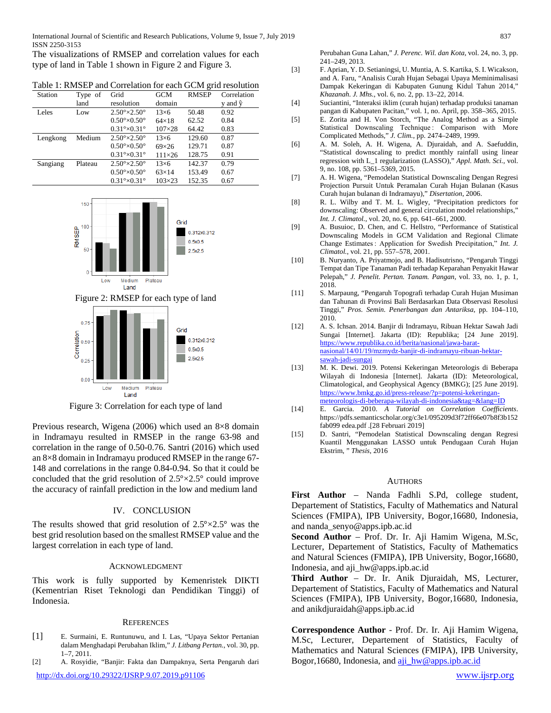The visualizations of RMSEP and correlation values for each type of land in Table 1 shown in Figure 2 and Figure 3.

|--|

| Station  | Type of | Grid                               | <b>GCM</b>      | <b>RMSEP</b> | Correlation |
|----------|---------|------------------------------------|-----------------|--------------|-------------|
|          | land    | resolution                         | domain          |              | y and ŷ     |
| Leles    | Low     | $2.50^{\circ} \times 2.50^{\circ}$ | $13\times 6$    | 50.48        | 0.92        |
|          |         | $0.50^{\circ} \times 0.50^{\circ}$ | $64\times18$    | 62.52        | 0.84        |
|          |         | $0.31^{\circ} \times 0.31^{\circ}$ | $107 \times 28$ | 64.42        | 0.83        |
| Lengkong | Medium  | $2.50^{\circ} \times 2.50^{\circ}$ | $13\times 6$    | 129.60       | 0.87        |
|          |         | $0.50^{\circ} \times 0.50^{\circ}$ | $69\times26$    | 129.71       | 0.87        |
|          |         | $0.31^{\circ} \times 0.31^{\circ}$ | $111\times26$   | 128.75       | 0.91        |
| Sangiang | Plateau | $2.50^{\circ} \times 2.50^{\circ}$ | $13\times 6$    | 142.37       | 0.79        |
|          |         | $0.50^{\circ} \times 0.50^{\circ}$ | $63\times14$    | 153.49       | 0.67        |
|          |         | $0.31^{\circ} \times 0.31^{\circ}$ | $103 \times 23$ | 152.35       | 0.67        |







Figure 3: Correlation for each type of land

Previous research, Wigena (2006) which used an 8×8 domain in Indramayu resulted in RMSEP in the range 63-98 and correlation in the range of 0.50-0.76. Santri (2016) which used an 8×8 domain in Indramayu produced RMSEP in the range 67- 148 and correlations in the range 0.84-0.94. So that it could be concluded that the grid resolution of 2.5°×2.5° could improve the accuracy of rainfall prediction in the low and medium land

## IV. CONCLUSION

The results showed that grid resolution of  $2.5^{\circ} \times 2.5^{\circ}$  was the best grid resolution based on the smallest RMSEP value and the largest correlation in each type of land.

## ACKNOWLEDGMENT

This work is fully supported by Kemenristek DIKTI (Kementrian Riset Teknologi dan Pendidikan Tinggi) of Indonesia.

### **REFERENCES**

- [1] E. Surmaini, E. Runtunuwu, and I. Las, "Upaya Sektor Pertanian dalam Menghadapi Perubahan Iklim," *J. Litbang Pertan.*, vol. 30, pp. 1–7, 2011.
- <http://dx.doi.org/10.29322/IJSRP.9.07.2019.p91106> [www.ijsrp.org](http://ijsrp.org/) [2] A. Rosyidie, "Banjir: Fakta dan Dampaknya, Serta Pengaruh dari

Perubahan Guna Lahan," *J. Perenc. Wil. dan Kota*, vol. 24, no. 3, pp. 241–249, 2013.

- [3] F. Aprian, Y. D. Setianingsi, U. Muntia, A. S. Kartika, S. I. Wicakson, and A. Faru, "Analisis Curah Hujan Sebagai Upaya Meminimalisasi Dampak Kekeringan di Kabupaten Gunung Kidul Tahun 2014," *Khazanah. J. Mhs.*, vol. 6, no. 2, pp. 13–22, 2014.
- [4] Suciantini, "Interaksi iklim (curah hujan) terhadap produksi tanaman pangan di Kabupaten Pacitan," vol. 1, no. April, pp. 358–365, 2015.
- [5] E. Zorita and H. Von Storch, "The Analog Method as a Simple Statistical Downscaling Technique: Comparison with More Complicated Methods," *J. Clim.*, pp. 2474–2489, 1999.
- [6] A. M. Soleh, A. H. Wigena, A. Djuraidah, and A. Saefuddin, "Statistical downscaling to predict monthly rainfall using linear regression with L\_1 regularization (LASSO)," *Appl. Math. Sci.*, vol. 9, no. 108, pp. 5361–5369, 2015.
- [7] A. H. Wigena, "Pemodelan Statistical Downscaling Dengan Regresi Projection Pursuit Untuk Peramalan Curah Hujan Bulanan (Kasus Curah hujan bulanan di Indramayu)," *Disertation*, 2006.
- [8] R. L. Wilby and T. M. L. Wigley, "Precipitation predictors for downscaling: Observed and general circulation model relationships," *Int. J. Climatol.*, vol. 20, no. 6, pp. 641–661, 2000.
- [9] A. Busuioc, D. Chen, and C. Hellstro, "Performance of Statistical Downscaling Models in GCM Validation and Regional Climate Change Estimates : Application for Swedish Precipitation," *Int. J. Climatol.*, vol. 21, pp. 557–578, 2001.
- [10] B. Nuryanto, A. Priyatmojo, and B. Hadisutrisno, "Pengaruh Tinggi Tempat dan Tipe Tanaman Padi terhadap Keparahan Penyakit Hawar Pelepah," *J. Penelit. Pertan. Tanam. Pangan*, vol. 33, no. 1, p. 1, 2018.
- [11] S. Marpaung, "Pengaruh Topografi terhadap Curah Hujan Musiman dan Tahunan di Provinsi Bali Berdasarkan Data Observasi Resolusi Tinggi," *Pros. Semin. Penerbangan dan Antariksa*, pp. 104–110, 2010.
- [12] A. S. Ichsan. 2014. Banjir di Indramayu, Ribuan Hektar Sawah Jadi Sungai [Internet]. Jakarta (ID): Republika; [24 June 2019]. [https://www.republika.co.id/berita/nasional/jawa-barat](https://www.republika.co.id/berita/nasional/jawa-barat-nasional/14/01/19/mzmydz-banjir-di-indramayu-ribuan-hektar-sawah-jadi-sungai)[nasional/14/01/19/mzmydz-banjir-di-indramayu-ribuan-hektar](https://www.republika.co.id/berita/nasional/jawa-barat-nasional/14/01/19/mzmydz-banjir-di-indramayu-ribuan-hektar-sawah-jadi-sungai)[sawah-jadi-sungai](https://www.republika.co.id/berita/nasional/jawa-barat-nasional/14/01/19/mzmydz-banjir-di-indramayu-ribuan-hektar-sawah-jadi-sungai)
- [13] M. K. Dewi. 2019. Potensi Kekeringan Meteorologis di Beberapa Wilayah di Indonesia [Internet]. Jakarta (ID): Meteorological, Climatological, and Geophysical Agency (BMKG); [25 June 2019]. [https://www.bmkg.go.id/press-release/?p=potensi-kekeringan](https://www.bmkg.go.id/press-release/?p=potensi-kekeringan-meteorologis-di-beberapa-wilayah-di-indonesia&tag=&lang=ID)[meteorologis-di-beberapa-wilayah-di-indonesia&tag=&lang=ID](https://www.bmkg.go.id/press-release/?p=potensi-kekeringan-meteorologis-di-beberapa-wilayah-di-indonesia&tag=&lang=ID)
- [14] E. Garcia. 2010. *A Tutorial on Correlation Coefficients*. https://pdfs.semanticscholar.org/c3e1/095209d3f72ff66e07b8f3b152 fab099 edea.pdf .[28 Februari 2019]
- [15] D. Santri, "Pemodelan Statistical Downscaling dengan Regresi Kuantil Menggunakan LASSO untuk Pendugaan Curah Hujan Ekstrim, " *Thesis*, 2016

### AUTHORS

**First Author** – Nanda Fadhli S.Pd, college student, Departement of Statistics, Faculty of Mathematics and Natural Sciences (FMIPA), IPB University, Bogor,16680, Indonesia, and nanda\_senyo@apps.ipb.ac.id

**Second Author** – Prof. Dr. Ir. Aji Hamim Wigena, M.Sc, Lecturer, Departement of Statistics, Faculty of Mathematics and Natural Sciences (FMIPA), IPB University, Bogor,16680, Indonesia, and aji\_hw@apps.ipb.ac.id

**Third Author** – Dr. Ir. Anik Djuraidah, MS, Lecturer, Departement of Statistics, Faculty of Mathematics and Natural Sciences (FMIPA), IPB University, Bogor,16680, Indonesia, and anikdjuraidah@apps.ipb.ac.id

**Correspondence Author** - Prof. Dr. Ir. Aji Hamim Wigena, M.Sc, Lecturer, Departement of Statistics, Faculty of Mathematics and Natural Sciences (FMIPA), IPB University, Bogor, 16680, Indonesia, and [aji\\_hw@apps.ipb.ac.id](mailto:aji_hw@apps.ipb.ac.id)